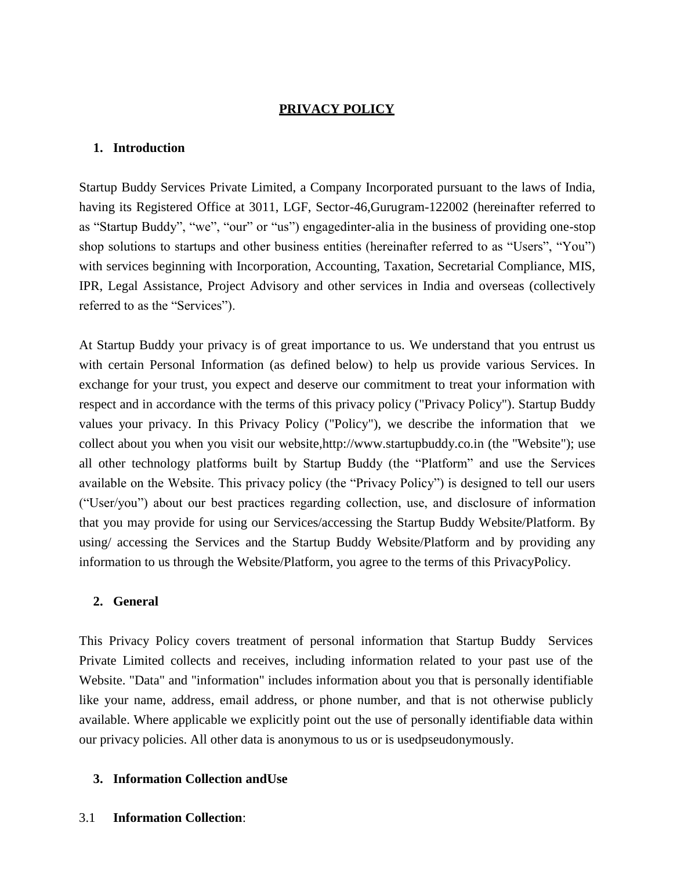# **PRIVACY POLICY**

## **1. Introduction**

Startup Buddy Services Private Limited, a Company Incorporated pursuant to the laws of India, having its Registered Office at 3011, LGF, Sector-46,Gurugram-122002 (hereinafter referred to as "Startup Buddy", "we", "our" or "us") engagedinter-alia in the business of providing one-stop shop solutions to startups and other business entities (hereinafter referred to as "Users", "You") with services beginning with Incorporation, Accounting, Taxation, Secretarial Compliance, MIS, IPR, Legal Assistance, Project Advisory and other services in India and overseas (collectively referred to as the "Services").

At Startup Buddy your privacy is of great importance to us. We understand that you entrust us with certain Personal Information (as defined below) to help us provide various Services. In exchange for your trust, you expect and deserve our commitment to treat your information with respect and in accordance with the terms of this privacy policy ("Privacy Policy"). Startup Buddy values your privacy. In this Privacy Policy ("Policy"), we describe the information that we collect about you when you visit our websit[e,http://www.startupbuddy.co.in \(](http://www.startupbuddy.co.in/)the "Website"); use all other technology platforms built by Startup Buddy (the "Platform" and use the Services available on the Website. This privacy policy (the "Privacy Policy") is designed to tell our users ("User/you") about our best practices regarding collection, use, and disclosure of information that you may provide for using our Services/accessing the Startup Buddy Website/Platform. By using/ accessing the Services and the Startup Buddy Website/Platform and by providing any information to us through the Website/Platform, you agree to the terms of this PrivacyPolicy.

## **2. General**

This Privacy Policy covers treatment of personal information that Startup Buddy Services Private Limited collects and receives, including information related to your past use of the Website. "Data" and "information" includes information about you that is personally identifiable like your name, address, email address, or phone number, and that is not otherwise publicly available. Where applicable we explicitly point out the use of personally identifiable data within our privacy policies. All other data is anonymous to us or is usedpseudonymously.

## **3. Information Collection andUse**

## 3.1 **Information Collection**: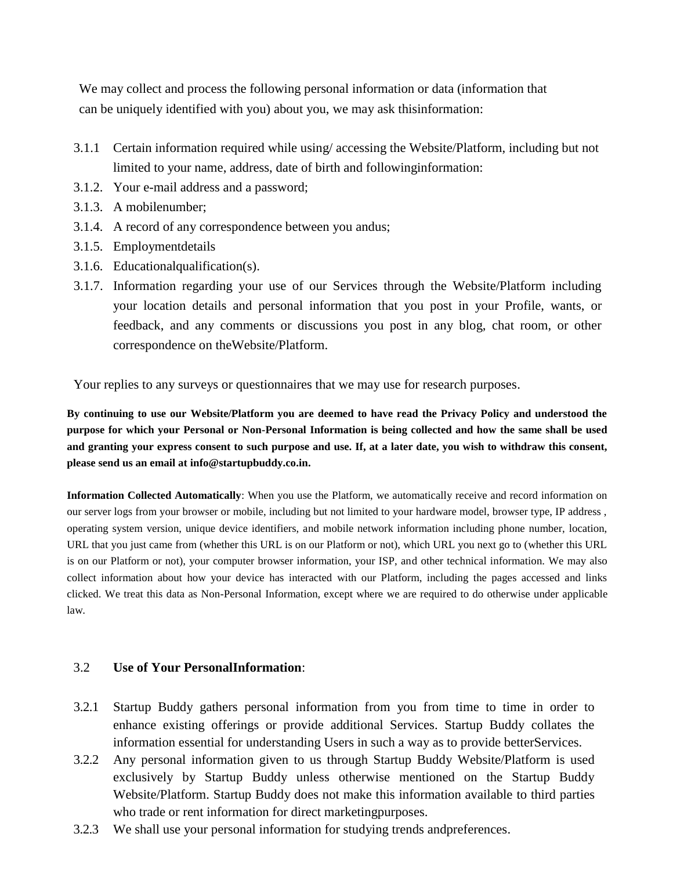We may collect and process the following personal information or data (information that can be uniquely identified with you) about you, we may ask thisinformation:

- 3.1.1 Certain information required while using/ accessing the Website/Platform, including but not limited to your name, address, date of birth and followinginformation:
- 3.1.2. Your e-mail address and a password;
- 3.1.3. A mobilenumber;
- 3.1.4. A record of any correspondence between you andus;
- 3.1.5. Employmentdetails
- 3.1.6. Educationalqualification(s).
- 3.1.7. Information regarding your use of our Services through the Website/Platform including your location details and personal information that you post in your Profile, wants, or feedback, and any comments or discussions you post in any blog, chat room, or other correspondence on theWebsite/Platform.

Your replies to any surveys or questionnaires that we may use for research purposes.

**By continuing to use our Website/Platform you are deemed to have read the Privacy Policy and understood the purpose for which your Personal or Non-Personal Information is being collected and how the same shall be used and granting your express consent to such purpose and use. If, at a later date, you wish to withdraw this consent, please send us an email at info@startupbuddy.co.in.** 

**Information Collected Automatically**: When you use the Platform, we automatically receive and record information on our server logs from your browser or mobile, including but not limited to your hardware model, browser type, IP address , operating system version, unique device identifiers, and mobile network information including phone number, location, URL that you just came from (whether this URL is on our Platform or not), which URL you next go to (whether this URL is on our Platform or not), your computer browser information, your ISP, and other technical information. We may also collect information about how your device has interacted with our Platform, including the pages accessed and links clicked. We treat this data as Non-Personal Information, except where we are required to do otherwise under applicable law.

## 3.2 **Use of Your PersonalInformation**:

- 3.2.1 Startup Buddy gathers personal information from you from time to time in order to enhance existing offerings or provide additional Services. Startup Buddy collates the information essential for understanding Users in such a way as to provide betterServices.
- 3.2.2 Any personal information given to us through Startup Buddy Website/Platform is used exclusively by Startup Buddy unless otherwise mentioned on the Startup Buddy Website/Platform. Startup Buddy does not make this information available to third parties who trade or rent information for direct marketingpurposes.
- 3.2.3 We shall use your personal information for studying trends andpreferences.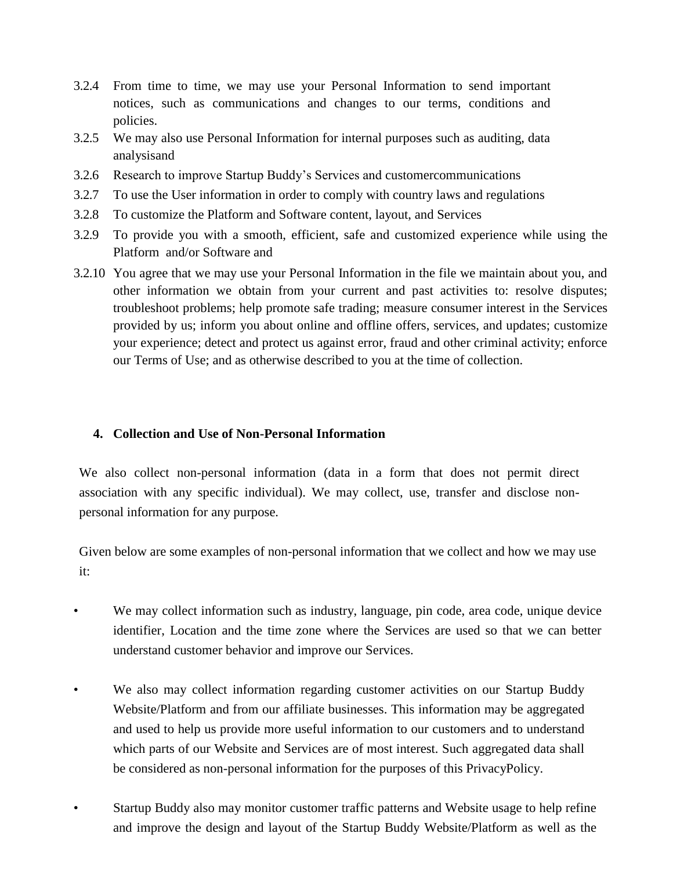- 3.2.4 From time to time, we may use your Personal Information to send important notices, such as communications and changes to our terms, conditions and policies.
- 3.2.5 We may also use Personal Information for internal purposes such as auditing, data analysisand
- 3.2.6 Research to improve Startup Buddy's Services and customercommunications
- 3.2.7 To use the User information in order to comply with country laws and regulations
- 3.2.8 To customize the Platform and Software content, layout, and Services
- 3.2.9 To provide you with a smooth, efficient, safe and customized experience while using the Platform and/or Software and
- 3.2.10 You agree that we may use your Personal Information in the file we maintain about you, and other information we obtain from your current and past activities to: resolve disputes; troubleshoot problems; help promote safe trading; measure consumer interest in the Services provided by us; inform you about online and offline offers, services, and updates; customize your experience; detect and protect us against error, fraud and other criminal activity; enforce our Terms of Use; and as otherwise described to you at the time of collection.

## **4. Collection and Use of Non-Personal Information**

We also collect non-personal information (data in a form that does not permit direct association with any specific individual). We may collect, use, transfer and disclose nonpersonal information for any purpose.

Given below are some examples of non-personal information that we collect and how we may use it:

- We may collect information such as industry, language, pin code, area code, unique device identifier, Location and the time zone where the Services are used so that we can better understand customer behavior and improve our Services.
- We also may collect information regarding customer activities on our Startup Buddy Website/Platform and from our affiliate businesses. This information may be aggregated and used to help us provide more useful information to our customers and to understand which parts of our Website and Services are of most interest. Such aggregated data shall be considered as non-personal information for the purposes of this PrivacyPolicy.
- Startup Buddy also may monitor customer traffic patterns and Website usage to help refine and improve the design and layout of the Startup Buddy Website/Platform as well as the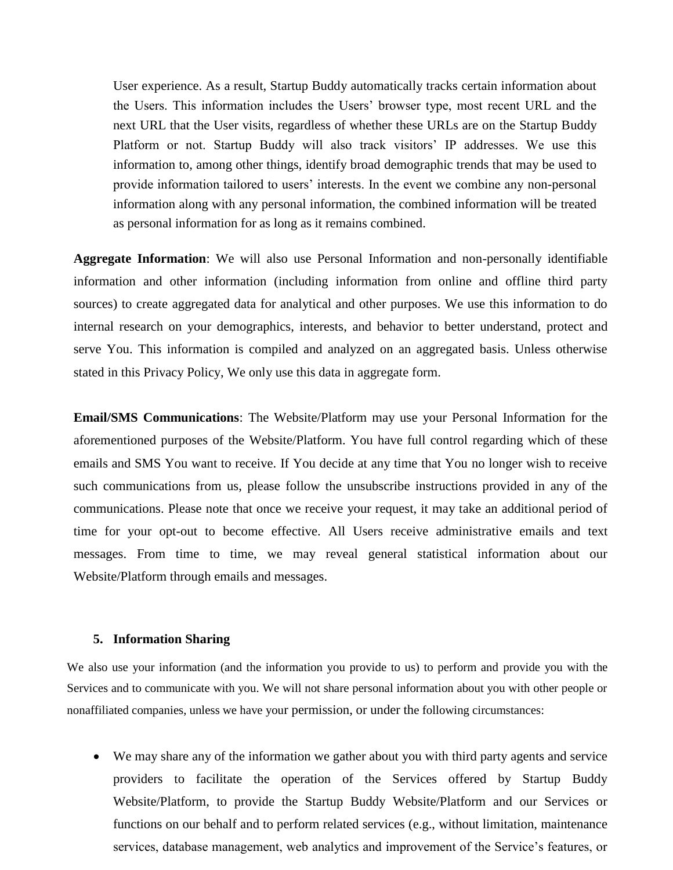User experience. As a result, Startup Buddy automatically tracks certain information about the Users. This information includes the Users' browser type, most recent URL and the next URL that the User visits, regardless of whether these URLs are on the Startup Buddy Platform or not. Startup Buddy will also track visitors' IP addresses. We use this information to, among other things, identify broad demographic trends that may be used to provide information tailored to users' interests. In the event we combine any non-personal information along with any personal information, the combined information will be treated as personal information for as long as it remains combined.

**Aggregate Information**: We will also use Personal Information and non-personally identifiable information and other information (including information from online and offline third party sources) to create aggregated data for analytical and other purposes. We use this information to do internal research on your demographics, interests, and behavior to better understand, protect and serve You. This information is compiled and analyzed on an aggregated basis. Unless otherwise stated in this Privacy Policy, We only use this data in aggregate form.

**Email/SMS Communications**: The Website/Platform may use your Personal Information for the aforementioned purposes of the Website/Platform. You have full control regarding which of these emails and SMS You want to receive. If You decide at any time that You no longer wish to receive such communications from us, please follow the unsubscribe instructions provided in any of the communications. Please note that once we receive your request, it may take an additional period of time for your opt-out to become effective. All Users receive administrative emails and text messages. From time to time, we may reveal general statistical information about our Website/Platform through emails and messages.

#### **5. Information Sharing**

We also use your information (and the information you provide to us) to perform and provide you with the Services and to communicate with you. We will not share personal information about you with other people or nonaffiliated companies, unless we have your permission, or under the following circumstances:

 We may share any of the information we gather about you with third party agents and service providers to facilitate the operation of the Services offered by Startup Buddy Website/Platform, to provide the Startup Buddy Website/Platform and our Services or functions on our behalf and to perform related services (e.g., without limitation, maintenance services, database management, web analytics and improvement of the Service's features, or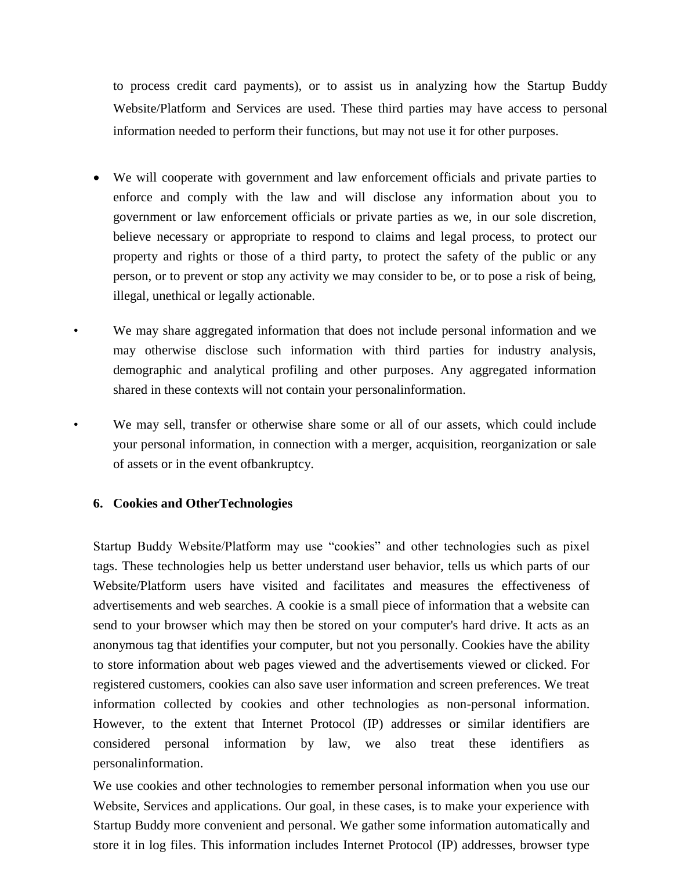to process credit card payments), or to assist us in analyzing how the Startup Buddy Website/Platform and Services are used. These third parties may have access to personal information needed to perform their functions, but may not use it for other purposes.

- We will cooperate with government and law enforcement officials and private parties to enforce and comply with the law and will disclose any information about you to government or law enforcement officials or private parties as we, in our sole discretion, believe necessary or appropriate to respond to claims and legal process, to protect our property and rights or those of a third party, to protect the safety of the public or any person, or to prevent or stop any activity we may consider to be, or to pose a risk of being, illegal, unethical or legally actionable.
- We may share aggregated information that does not include personal information and we may otherwise disclose such information with third parties for industry analysis, demographic and analytical profiling and other purposes. Any aggregated information shared in these contexts will not contain your personalinformation.
	- We may sell, transfer or otherwise share some or all of our assets, which could include your personal information, in connection with a merger, acquisition, reorganization or sale of assets or in the event ofbankruptcy.

## **6. Cookies and OtherTechnologies**

Startup Buddy Website/Platform may use "cookies" and other technologies such as pixel tags. These technologies help us better understand user behavior, tells us which parts of our Website/Platform users have visited and facilitates and measures the effectiveness of advertisements and web searches. A cookie is a small piece of information that a website can send to your browser which may then be stored on your computer's hard drive. It acts as an anonymous tag that identifies your computer, but not you personally. Cookies have the ability to store information about web pages viewed and the advertisements viewed or clicked. For registered customers, cookies can also save user information and screen preferences. We treat information collected by cookies and other technologies as non-personal information. However, to the extent that Internet Protocol (IP) addresses or similar identifiers are considered personal information by law, we also treat these identifiers as personalinformation.

We use cookies and other technologies to remember personal information when you use our Website, Services and applications. Our goal, in these cases, is to make your experience with Startup Buddy more convenient and personal. We gather some information automatically and store it in log files. This information includes Internet Protocol (IP) addresses, browser type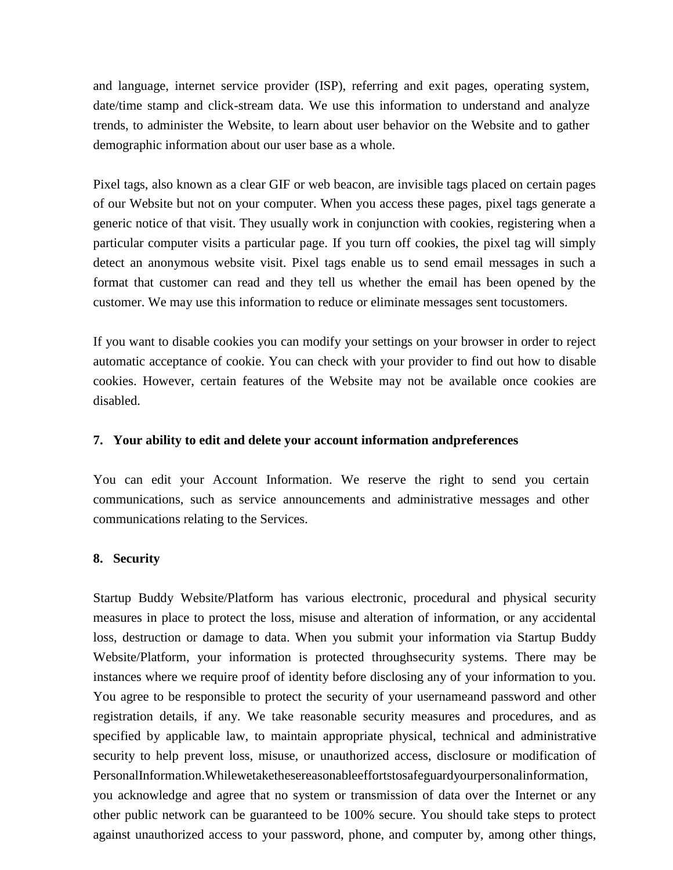and language, internet service provider (ISP), referring and exit pages, operating system, date/time stamp and click-stream data. We use this information to understand and analyze trends, to administer the Website, to learn about user behavior on the Website and to gather demographic information about our user base as a whole.

Pixel tags, also known as a clear GIF or web beacon, are invisible tags placed on certain pages of our Website but not on your computer. When you access these pages, pixel tags generate a generic notice of that visit. They usually work in conjunction with cookies, registering when a particular computer visits a particular page. If you turn off cookies, the pixel tag will simply detect an anonymous website visit. Pixel tags enable us to send email messages in such a format that customer can read and they tell us whether the email has been opened by the customer. We may use this information to reduce or eliminate messages sent tocustomers.

If you want to disable cookies you can modify your settings on your browser in order to reject automatic acceptance of cookie. You can check with your provider to find out how to disable cookies. However, certain features of the Website may not be available once cookies are disabled.

### **7. Your ability to edit and delete your account information andpreferences**

You can edit your Account Information. We reserve the right to send you certain communications, such as service announcements and administrative messages and other communications relating to the Services.

## **8. Security**

Startup Buddy Website/Platform has various electronic, procedural and physical security measures in place to protect the loss, misuse and alteration of information, or any accidental loss, destruction or damage to data. When you submit your information via Startup Buddy Website/Platform, your information is protected throughsecurity systems. There may be instances where we require proof of identity before disclosing any of your information to you. You agree to be responsible to protect the security of your usernameand password and other registration details, if any. We take reasonable security measures and procedures, and as specified by applicable law, to maintain appropriate physical, technical and administrative security to help prevent loss, misuse, or unauthorized access, disclosure or modification of PersonalInformation.Whilewetakethesereasonableeffortstosafeguardyourpersonalinformation,

you acknowledge and agree that no system or transmission of data over the Internet or any other public network can be guaranteed to be 100% secure. You should take steps to protect against unauthorized access to your password, phone, and computer by, among other things,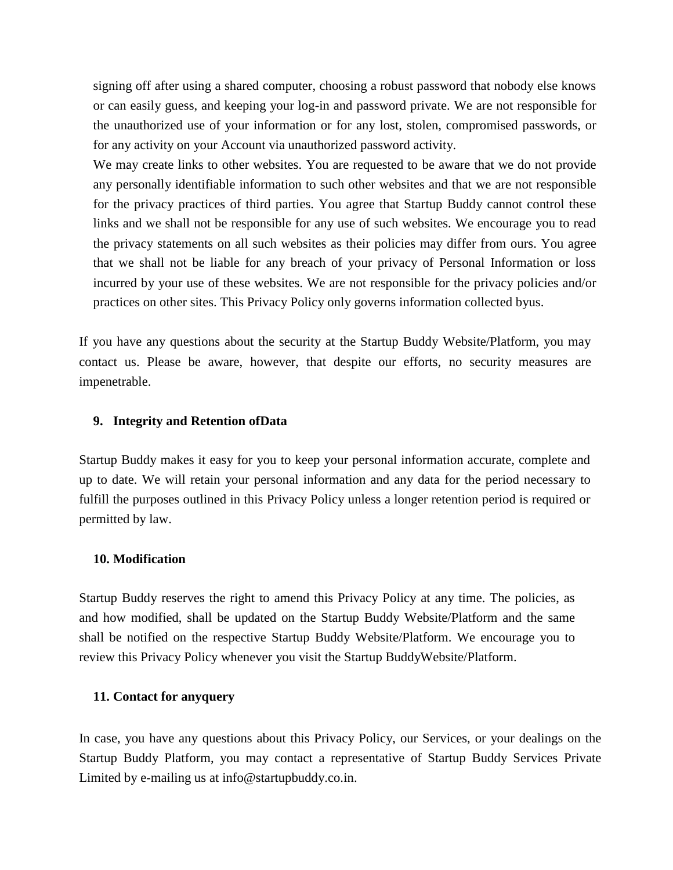signing off after using a shared computer, choosing a robust password that nobody else knows or can easily guess, and keeping your log-in and password private. We are not responsible for the unauthorized use of your information or for any lost, stolen, compromised passwords, or for any activity on your Account via unauthorized password activity.

We may create links to other websites. You are requested to be aware that we do not provide any personally identifiable information to such other websites and that we are not responsible for the privacy practices of third parties. You agree that Startup Buddy cannot control these links and we shall not be responsible for any use of such websites. We encourage you to read the privacy statements on all such websites as their policies may differ from ours. You agree that we shall not be liable for any breach of your privacy of Personal Information or loss incurred by your use of these websites. We are not responsible for the privacy policies and/or practices on other sites. This Privacy Policy only governs information collected byus.

If you have any questions about the security at the Startup Buddy Website/Platform, you may contact us. Please be aware, however, that despite our efforts, no security measures are impenetrable.

#### **9. Integrity and Retention ofData**

Startup Buddy makes it easy for you to keep your personal information accurate, complete and up to date. We will retain your personal information and any data for the period necessary to fulfill the purposes outlined in this Privacy Policy unless a longer retention period is required or permitted by law.

#### **10. Modification**

Startup Buddy reserves the right to amend this Privacy Policy at any time. The policies, as and how modified, shall be updated on the Startup Buddy Website/Platform and the same shall be notified on the respective Startup Buddy Website/Platform. We encourage you to review this Privacy Policy whenever you visit the Startup BuddyWebsite/Platform.

### **11. Contact for anyquery**

In case, you have any questions about this Privacy Policy, our Services, or your dealings on the Startup Buddy Platform, you may contact a representative of Startup Buddy Services Private Limited by e-mailing us at [info@startupbuddy.co.in.](mailto:info@startupbuddy.co.in)